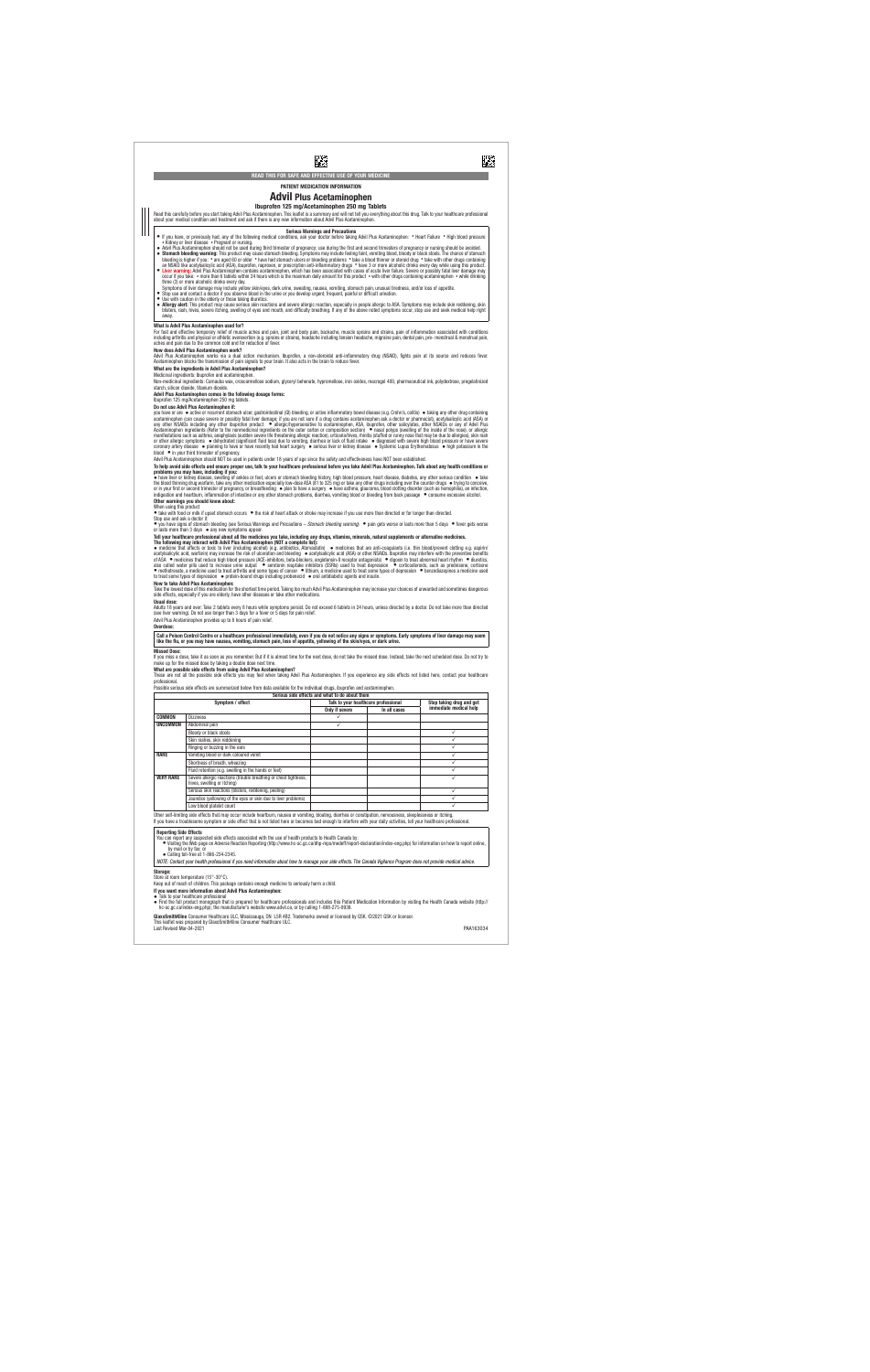|                                                                                                                                                                                                    | READ THIS FOR SAFE AND EFFECTIVE USE OF YOUR MEDICINE                                                                                                                                                                                                                                                                                                                                                                                                                                                                                                                                                                                                                                                                                                                                                                                                                                                                |                                                |                                      |                          |  |  |
|----------------------------------------------------------------------------------------------------------------------------------------------------------------------------------------------------|----------------------------------------------------------------------------------------------------------------------------------------------------------------------------------------------------------------------------------------------------------------------------------------------------------------------------------------------------------------------------------------------------------------------------------------------------------------------------------------------------------------------------------------------------------------------------------------------------------------------------------------------------------------------------------------------------------------------------------------------------------------------------------------------------------------------------------------------------------------------------------------------------------------------|------------------------------------------------|--------------------------------------|--------------------------|--|--|
|                                                                                                                                                                                                    |                                                                                                                                                                                                                                                                                                                                                                                                                                                                                                                                                                                                                                                                                                                                                                                                                                                                                                                      | PATIENT MEDICATION INFORMATION                 |                                      |                          |  |  |
|                                                                                                                                                                                                    |                                                                                                                                                                                                                                                                                                                                                                                                                                                                                                                                                                                                                                                                                                                                                                                                                                                                                                                      | <b>Advil Plus Acetaminophen</b>                |                                      |                          |  |  |
|                                                                                                                                                                                                    |                                                                                                                                                                                                                                                                                                                                                                                                                                                                                                                                                                                                                                                                                                                                                                                                                                                                                                                      | Ibuprofen 125 mg/Acetaminophen 250 mg Tablets  |                                      |                          |  |  |
|                                                                                                                                                                                                    | Read this carefully before you start taking Advil Plus Acetaminophen. This leaflet is a summary and will not tell you everything about this drug. Talk to your healthcare professional<br>about your medical condition and treatment and ask if there is any new information about Advil Plus Acetaminophen.                                                                                                                                                                                                                                                                                                                                                                                                                                                                                                                                                                                                         |                                                |                                      |                          |  |  |
|                                                                                                                                                                                                    |                                                                                                                                                                                                                                                                                                                                                                                                                                                                                                                                                                                                                                                                                                                                                                                                                                                                                                                      | <b>Serious Warnings and Precautions</b>        |                                      |                          |  |  |
|                                                                                                                                                                                                    | • If you have, or previously had, any of the following medical conditions, ask your doctor before taking Advil Plus Acetaminophen: • Heart Failure • High blood pressure                                                                                                                                                                                                                                                                                                                                                                                                                                                                                                                                                                                                                                                                                                                                             |                                                |                                      |                          |  |  |
|                                                                                                                                                                                                    | - Kidney or liver disease - Pregnant or nursing.<br>• Advil Plus Acetaminophen should not be used during third trimester of pregnancy; use during the first and second trimesters of pregnancy or nursing should be avoided.                                                                                                                                                                                                                                                                                                                                                                                                                                                                                                                                                                                                                                                                                         |                                                |                                      |                          |  |  |
|                                                                                                                                                                                                    | . Stomach bleeding warning: This product may cause stomach bleeding. Symptoms may include feeling faint, vomiting blood, bloody or black stools. The chance of stomach<br>bleeding is higher if you: • are aged 60 or older • have had stomach ulcers or bleeding problems • take a blood thinner or steroid drug • take with other drugs containing<br>an NSAID like acetylsalicylic acid (ASA), ibuprofen, naproxen, or prescription anti-inflammatory drugs • have 3 or more alcoholic drinks every day while using this product.<br>• Liver warning: Advil Plus Acetaminophen contains acetaminophen, which has been associated with cases of acute liver failure. Severe or possibly fatal liver damage may                                                                                                                                                                                                     |                                                |                                      |                          |  |  |
|                                                                                                                                                                                                    | occur if you take: • more than 6 tablets within 24 hours which is the maximum daily amount for this product • with other drugs containing acetaminophen • while drinking<br>three (3) or more alcoholic drinks every day.<br>Symptoms of liver damage may include yellow skin/eyes, dark urine, sweating, nausea, vomiting, stomach pain, unusual tiredness, and/or loss of appetite.                                                                                                                                                                                                                                                                                                                                                                                                                                                                                                                                |                                                |                                      |                          |  |  |
| • Stop use and contact a doctor if you observe blood in the urine or you develop urgent, frequent, painful or difficult urination.<br>• Use with caution in the elderly or those taking diuretics. |                                                                                                                                                                                                                                                                                                                                                                                                                                                                                                                                                                                                                                                                                                                                                                                                                                                                                                                      |                                                |                                      |                          |  |  |
| away.                                                                                                                                                                                              | • Allergy alert: This product may cause serious skin reactions and severe allergic reaction, especially in people allergic to ASA. Symptoms may include skin reddening, skin<br>blisters, rash, hives, severe itching, swelling of eyes and mouth, and difficulty breathing. If any of the above noted symptoms occur, stop use and seek medical help right                                                                                                                                                                                                                                                                                                                                                                                                                                                                                                                                                          |                                                |                                      |                          |  |  |
|                                                                                                                                                                                                    | What is Advil Plus Acetaminophen used for?<br>For fast and effective temporary relief of muscle aches and pain, joint and body pain, backache, muscle sprains and strains, pain of inflammation associated with conditions                                                                                                                                                                                                                                                                                                                                                                                                                                                                                                                                                                                                                                                                                           |                                                |                                      |                          |  |  |
|                                                                                                                                                                                                    | including arthritis and physical or athletic overexertion (e.g. sprains or strains), headache including tension headache, migraine pain, dental pain, pre- menstrual & menstrual pain,<br>aches and pain due to the common cold and for reduction of fever.<br>How does Advil Plus Acetaminophen work?                                                                                                                                                                                                                                                                                                                                                                                                                                                                                                                                                                                                               |                                                |                                      |                          |  |  |
|                                                                                                                                                                                                    | Advil Plus Acetaminophen works via a dual action mechanism. Ibuprofen, a non-steroidal anti-inflammatory drug (NSAID), fights pain at its source and reduces fever.<br>Acetaminophen blocks the transmission of pain signals to your brain. It also acts in the brain to reduce fever.                                                                                                                                                                                                                                                                                                                                                                                                                                                                                                                                                                                                                               |                                                |                                      |                          |  |  |
|                                                                                                                                                                                                    | What are the ingredients in Advil Plus Acetaminophen?                                                                                                                                                                                                                                                                                                                                                                                                                                                                                                                                                                                                                                                                                                                                                                                                                                                                |                                                |                                      |                          |  |  |
|                                                                                                                                                                                                    | Medicinal ingredients: Ibuprofen and acetaminophen.<br>Non-medicinal ingredients: Carnauba wax, croscarmellose sodium, glyceryl behenate, hypromellose, iron oxides, macrogol 400, pharmaceutical ink, polydextrose, pregelatinized                                                                                                                                                                                                                                                                                                                                                                                                                                                                                                                                                                                                                                                                                  |                                                |                                      |                          |  |  |
|                                                                                                                                                                                                    | starch, silicon dioxide, titanium dioxide.                                                                                                                                                                                                                                                                                                                                                                                                                                                                                                                                                                                                                                                                                                                                                                                                                                                                           |                                                |                                      |                          |  |  |
|                                                                                                                                                                                                    | Advil Plus Acetaminophen comes in the following dosage forms:<br>Ibuprofen 125 mg/Acetaminophen 250 mg tablets.                                                                                                                                                                                                                                                                                                                                                                                                                                                                                                                                                                                                                                                                                                                                                                                                      |                                                |                                      |                          |  |  |
|                                                                                                                                                                                                    | Do not use Advil Plus Acetaminophen if:                                                                                                                                                                                                                                                                                                                                                                                                                                                                                                                                                                                                                                                                                                                                                                                                                                                                              |                                                |                                      |                          |  |  |
|                                                                                                                                                                                                    | you have or are ● active or recurrent stomach ulcer, gastrointestinal (GI) bleeding, or active inflammatory bowel disease (e.g. Crohn's, colitis) ● taking any other drug containing<br>acetaminophen (can cause severe or possibly fatal liver damage; if you are not sure if a drug contains acetaminophen ask a doctor or pharmacist), acetylsalicylic acid (ASA) or                                                                                                                                                                                                                                                                                                                                                                                                                                                                                                                                              |                                                |                                      |                          |  |  |
|                                                                                                                                                                                                    | any other NSAIDs including any other ibuprofen product . allergic/hypersensitive to acetaminophen, ASA, ibuprofen, other salicylates, other NSAIDs or any of Advil Plus<br>Acetaminophen ingredients (Refer to the nonmedicinal ingredients on the outer carton or composition section) ● nasal polyps (swelling of the inside of the nose), or allergic                                                                                                                                                                                                                                                                                                                                                                                                                                                                                                                                                             |                                                |                                      |                          |  |  |
|                                                                                                                                                                                                    | manifestations such as asthma, anaphylaxis (sudden severe life threatening allergic reaction), urticaria/hives, rhinitis (stuffed or runny nose that may be due to allergies), skin rash                                                                                                                                                                                                                                                                                                                                                                                                                                                                                                                                                                                                                                                                                                                             |                                                |                                      |                          |  |  |
|                                                                                                                                                                                                    | or other allergic symptoms ● dehydrated (significant fluid loss) due to vomiting, diarrhea or lack of fluid intake ● diagnosed with severe high blood pressure or have severe<br>coronary artery disease . planning to have or have recently had heart surgery . serious liver or kidney disease . Systemic Lupus Erythematosus . high potassium in the                                                                                                                                                                                                                                                                                                                                                                                                                                                                                                                                                              |                                                |                                      |                          |  |  |
|                                                                                                                                                                                                    | blood • in your third trimester of pregnancy.                                                                                                                                                                                                                                                                                                                                                                                                                                                                                                                                                                                                                                                                                                                                                                                                                                                                        |                                                |                                      |                          |  |  |
|                                                                                                                                                                                                    | Advil Plus Acetaminophen should NOT be used in patients under 18 years of age since the safety and effectiveness have NOT been established.<br>To help avoid side effects and ensure proper use, talk to your healthcare professional before you take Advil Plus Acetaminophen. Talk about any health conditions or                                                                                                                                                                                                                                                                                                                                                                                                                                                                                                                                                                                                  |                                                |                                      |                          |  |  |
|                                                                                                                                                                                                    | problems you may have, including if you:<br>• have liver or kidney disease, swelling of ankles or feet, ulcers or stomach bleeding history, high blood pressure, heart disease, diabetes, any other serious condition • take                                                                                                                                                                                                                                                                                                                                                                                                                                                                                                                                                                                                                                                                                         |                                                |                                      |                          |  |  |
|                                                                                                                                                                                                    | the blood thinning drug warfarin, take any other medication especially low-dose ASA (81 to 325 mg) or take any other drugs including over the counter drugs • trying to conceive,                                                                                                                                                                                                                                                                                                                                                                                                                                                                                                                                                                                                                                                                                                                                    |                                                |                                      |                          |  |  |
|                                                                                                                                                                                                    | or in your first or second trimester of pregnancy, or breastfeeding • plan to have a surgery • have asthma, glaucoma, blood clotting disorder (such as hemophilia), an infection,<br>indigestion and heartburn, inflammation of intestine or any other stomach problems, diarrhea, vomiting blood or bleeding from back passage . consume excessive alcohol.                                                                                                                                                                                                                                                                                                                                                                                                                                                                                                                                                         |                                                |                                      |                          |  |  |
|                                                                                                                                                                                                    | Other warnings you should know about:                                                                                                                                                                                                                                                                                                                                                                                                                                                                                                                                                                                                                                                                                                                                                                                                                                                                                |                                                |                                      |                          |  |  |
| When using this product                                                                                                                                                                            | • take with food or milk if upset stomach occurs • the risk of heart attack or stroke may increase if you use more than directed or for longer than directed.                                                                                                                                                                                                                                                                                                                                                                                                                                                                                                                                                                                                                                                                                                                                                        |                                                |                                      |                          |  |  |
| Stop use and ask a doctor if:                                                                                                                                                                      | • you have signs of stomach bleeding (see Serious Warnings and Precautions – Stomach bleeding warning) • pain gets worse or lasts more than 5 days • fever gets worse                                                                                                                                                                                                                                                                                                                                                                                                                                                                                                                                                                                                                                                                                                                                                |                                                |                                      |                          |  |  |
|                                                                                                                                                                                                    | or lasts more than 3 days $\bullet$ any new symptoms appear.                                                                                                                                                                                                                                                                                                                                                                                                                                                                                                                                                                                                                                                                                                                                                                                                                                                         |                                                |                                      |                          |  |  |
|                                                                                                                                                                                                    | Tell your healthcare professional about all the medicines you take, including any drugs, vitamins, minerals, natural supplements or alternative medicines.<br>The following may interact with Advil Plus Acetaminophen (NOT a complete list):                                                                                                                                                                                                                                                                                                                                                                                                                                                                                                                                                                                                                                                                        |                                                |                                      |                          |  |  |
|                                                                                                                                                                                                    | • medicine that affects or toxic to liver (including alcohol) (e.g. antibiotics, Atorvastatin) • medicines that are anti-coagulants (i.e. thin blood/prevent clotting e.g. aspirin/<br>acetylsalicylic acid, warfarin) may increase the risk of ulceration and bleeding • acetylsalicylic acid (ASA) or other NSAIDs. Ibuprofen may interfere with the preventive benefits<br>of ASA • medicines that reduce high blood pressure (ACE-inhibitors, beta-blockers, angiotensin-II receptor antagonists) • digoxin to treat abnormal heart rhythm • diuretics,<br>also called water pills used to increase urine output · serotonin reuptake inhibitors (SSRIs) used to treat depression · corticosteroids, such as prednisone, cortisone<br>• methotrexate, a medicine used to treat arthritis and some types of cancer · lithium, a medicine used to treat some types of depression · benzodiazepines a medicine used |                                                |                                      |                          |  |  |
|                                                                                                                                                                                                    | to treat some types of depression $\bullet$ protein-bound drugs including probenecid $\bullet$ oral antidiabetic agents and insulin.                                                                                                                                                                                                                                                                                                                                                                                                                                                                                                                                                                                                                                                                                                                                                                                 |                                                |                                      |                          |  |  |
|                                                                                                                                                                                                    | How to take Advil Plus Acetaminophen:<br>Take the lowest dose of this medication for the shortest time period. Taking too much Advil Plus Acetaminophen may increase your chances of unwanted and sometimes dangerous                                                                                                                                                                                                                                                                                                                                                                                                                                                                                                                                                                                                                                                                                                |                                                |                                      |                          |  |  |
| <b>Usual dose:</b>                                                                                                                                                                                 | side effects, especially if you are elderly, have other diseases or take other medications.                                                                                                                                                                                                                                                                                                                                                                                                                                                                                                                                                                                                                                                                                                                                                                                                                          |                                                |                                      |                          |  |  |
|                                                                                                                                                                                                    | Adults 18 years and over: Take 2 tablets every 8 hours while symptoms persist. Do not exceed 6 tablets in 24 hours, unless directed by a doctor. Do not take more than directed                                                                                                                                                                                                                                                                                                                                                                                                                                                                                                                                                                                                                                                                                                                                      |                                                |                                      |                          |  |  |
|                                                                                                                                                                                                    | (see liver warning). Do not use longer than 3 days for a fever or 5 days for pain relief.<br>Advil Plus Acetaminophen provides up to 8 hours of pain relief.                                                                                                                                                                                                                                                                                                                                                                                                                                                                                                                                                                                                                                                                                                                                                         |                                                |                                      |                          |  |  |
| Overdose:                                                                                                                                                                                          |                                                                                                                                                                                                                                                                                                                                                                                                                                                                                                                                                                                                                                                                                                                                                                                                                                                                                                                      |                                                |                                      |                          |  |  |
|                                                                                                                                                                                                    | Call a Poison Control Centre or a healthcare professional immediately, even if you do not notice any signs or symptoms. Early symptoms of liver damage may seem                                                                                                                                                                                                                                                                                                                                                                                                                                                                                                                                                                                                                                                                                                                                                      |                                                |                                      |                          |  |  |
|                                                                                                                                                                                                    | like the flu, or you may have nausea, vomiting, stomach pain, loss of appetite, yellowing of the skin/eves, or dark urine.                                                                                                                                                                                                                                                                                                                                                                                                                                                                                                                                                                                                                                                                                                                                                                                           |                                                |                                      |                          |  |  |
| <b>Missed Dose:</b>                                                                                                                                                                                | If you miss a dose, take it as soon as you remember. But if it is almost time for the next dose, do not take the missed dose. Instead, take the next scheduled dose. Do not try to                                                                                                                                                                                                                                                                                                                                                                                                                                                                                                                                                                                                                                                                                                                                   |                                                |                                      |                          |  |  |
|                                                                                                                                                                                                    | make up for the missed dose by taking a double dose next time.                                                                                                                                                                                                                                                                                                                                                                                                                                                                                                                                                                                                                                                                                                                                                                                                                                                       |                                                |                                      |                          |  |  |
|                                                                                                                                                                                                    | What are possible side effects from using Advil Plus Acetaminophen?<br>These are not all the possible side effects you may feel when taking Advil Plus Acetaminophen. If you experience any side effects not listed here, contact your healthcare                                                                                                                                                                                                                                                                                                                                                                                                                                                                                                                                                                                                                                                                    |                                                |                                      |                          |  |  |
| professional.                                                                                                                                                                                      | Possible serious side effects are summarized below from data available for the individual drugs, ibuprofen and acetaminophen.                                                                                                                                                                                                                                                                                                                                                                                                                                                                                                                                                                                                                                                                                                                                                                                        |                                                |                                      |                          |  |  |
|                                                                                                                                                                                                    |                                                                                                                                                                                                                                                                                                                                                                                                                                                                                                                                                                                                                                                                                                                                                                                                                                                                                                                      | Serious side effects and what to do about them |                                      |                          |  |  |
|                                                                                                                                                                                                    |                                                                                                                                                                                                                                                                                                                                                                                                                                                                                                                                                                                                                                                                                                                                                                                                                                                                                                                      |                                                | Talk to your healthcare professional |                          |  |  |
|                                                                                                                                                                                                    | Symptom / effect                                                                                                                                                                                                                                                                                                                                                                                                                                                                                                                                                                                                                                                                                                                                                                                                                                                                                                     |                                                |                                      | Stop taking drug and get |  |  |
|                                                                                                                                                                                                    |                                                                                                                                                                                                                                                                                                                                                                                                                                                                                                                                                                                                                                                                                                                                                                                                                                                                                                                      | Only if severe                                 | In all cases                         | immediate medical help   |  |  |
|                                                                                                                                                                                                    | <b>Dizziness</b><br>Abdominal pain                                                                                                                                                                                                                                                                                                                                                                                                                                                                                                                                                                                                                                                                                                                                                                                                                                                                                   | ✓<br>✓                                         |                                      |                          |  |  |
|                                                                                                                                                                                                    | Bloody or black stools                                                                                                                                                                                                                                                                                                                                                                                                                                                                                                                                                                                                                                                                                                                                                                                                                                                                                               |                                                |                                      | ✓                        |  |  |
|                                                                                                                                                                                                    | Skin rashes, skin reddening                                                                                                                                                                                                                                                                                                                                                                                                                                                                                                                                                                                                                                                                                                                                                                                                                                                                                          |                                                |                                      | ✓                        |  |  |
|                                                                                                                                                                                                    | Ringing or buzzing in the ears                                                                                                                                                                                                                                                                                                                                                                                                                                                                                                                                                                                                                                                                                                                                                                                                                                                                                       |                                                |                                      | ✓                        |  |  |
|                                                                                                                                                                                                    | Vomiting blood or dark coloured vomit                                                                                                                                                                                                                                                                                                                                                                                                                                                                                                                                                                                                                                                                                                                                                                                                                                                                                |                                                |                                      | ✓                        |  |  |
|                                                                                                                                                                                                    | Shortness of breath, wheezing                                                                                                                                                                                                                                                                                                                                                                                                                                                                                                                                                                                                                                                                                                                                                                                                                                                                                        |                                                |                                      | ✓<br>✓                   |  |  |
|                                                                                                                                                                                                    | Fluid retention (e.g. swelling in the hands or feet)<br>Severe allergic reactions (trouble breathing or chest tightness,                                                                                                                                                                                                                                                                                                                                                                                                                                                                                                                                                                                                                                                                                                                                                                                             |                                                |                                      | ✓                        |  |  |
| <b>COMMON</b><br><b>UNCOMMON</b><br><b>RARE</b><br><b>VERY RARE</b>                                                                                                                                | hives, swelling or itching)                                                                                                                                                                                                                                                                                                                                                                                                                                                                                                                                                                                                                                                                                                                                                                                                                                                                                          |                                                |                                      |                          |  |  |
|                                                                                                                                                                                                    | Serious skin reactions (blisters, reddening, peeling)                                                                                                                                                                                                                                                                                                                                                                                                                                                                                                                                                                                                                                                                                                                                                                                                                                                                |                                                |                                      | ✓<br>✓                   |  |  |
|                                                                                                                                                                                                    | Jaundice (yellowing of the eyes or skin due to liver problems)<br>Low blood platelet count                                                                                                                                                                                                                                                                                                                                                                                                                                                                                                                                                                                                                                                                                                                                                                                                                           |                                                |                                      | ✓                        |  |  |
|                                                                                                                                                                                                    | Other self-limiting side effects that may occur include heartburn, nausea or vomiting, bloating, diarrhea or constipation, nervousness, sleeplessness or itching.                                                                                                                                                                                                                                                                                                                                                                                                                                                                                                                                                                                                                                                                                                                                                    |                                                |                                      |                          |  |  |

| by mail or by fax; or<br>• Calling toll-free at 1-866-234-2345.<br>NOTE: Contact your health professional if you need information about how to manage your side effects. The Canada Vigilance Program does not provide medical advice.                                                                                          |           |
|---------------------------------------------------------------------------------------------------------------------------------------------------------------------------------------------------------------------------------------------------------------------------------------------------------------------------------|-----------|
| Storage:<br>Store at room temperature (15°-30°C).                                                                                                                                                                                                                                                                               |           |
| Keep out of reach of children. This package contains enough medicine to seriously harm a child.                                                                                                                                                                                                                                 |           |
| If you want more information about Advil Plus Acetaminophen:                                                                                                                                                                                                                                                                    |           |
| • Talk to your healthcare professional<br>• Find the full product monograph that is prepared for healthcare professionals and includes this Patient Medication Information by visiting the Health Canada website (http://<br>hc-sc.qc.ca/index-enq.php); the manufacturer's website www.advil.ca, or by calling 1-888-275-9938. |           |
| GlaxoSmithKline Consumer Healthcare ULC, Mississauga, ON L5R 4B2. Trademarks owned or licensed by GSK. @2021 GSK or licensor.                                                                                                                                                                                                   |           |
| This leaflet was prepared by GlaxoSmithKline Consumer Healthcare ULC.<br>Last Revised Mar-04-2021                                                                                                                                                                                                                               | PAA163034 |
|                                                                                                                                                                                                                                                                                                                                 |           |